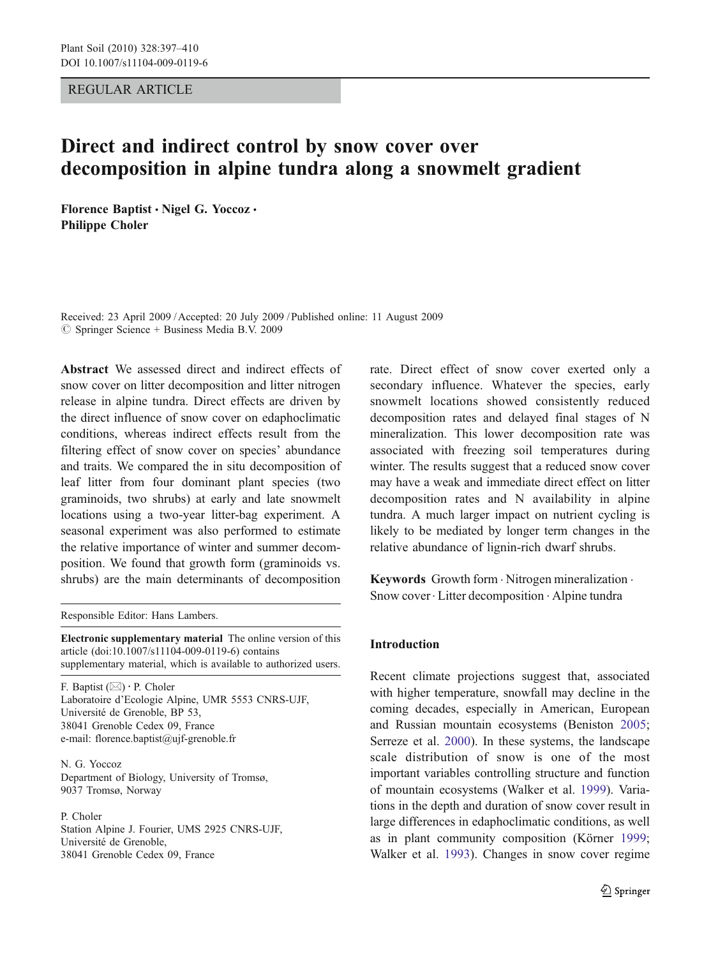REGULAR ARTICLE

# Direct and indirect control by snow cover over decomposition in alpine tundra along a snowmelt gradient

Florence Baptist . Nigel G. Yoccoz . Philippe Choler

Received: 23 April 2009 /Accepted: 20 July 2009 / Published online: 11 August 2009  $\circledcirc$  Springer Science + Business Media B.V. 2009

Abstract We assessed direct and indirect effects of snow cover on litter decomposition and litter nitrogen release in alpine tundra. Direct effects are driven by the direct influence of snow cover on edaphoclimatic conditions, whereas indirect effects result from the filtering effect of snow cover on species' abundance and traits. We compared the in situ decomposition of leaf litter from four dominant plant species (two graminoids, two shrubs) at early and late snowmelt locations using a two-year litter-bag experiment. A seasonal experiment was also performed to estimate the relative importance of winter and summer decomposition. We found that growth form (graminoids vs. shrubs) are the main determinants of decomposition

Responsible Editor: Hans Lambers.

Electronic supplementary material The online version of this article (doi[:10.1007/s11104-009-0119-6\)](http://dx.doi.org/10.1007/s11104-009-0119-6) contains supplementary material, which is available to authorized users.

F. Baptist (*\**) : P. Choler Laboratoire d'Ecologie Alpine, UMR 5553 CNRS-UJF, Université de Grenoble, BP 53, 38041 Grenoble Cedex 09, France e-mail: florence.baptist@ujf-grenoble.fr

N. G. Yoccoz Department of Biology, University of Tromsø, 9037 Tromsø, Norway

P. Choler Station Alpine J. Fourier, UMS 2925 CNRS-UJF, Université de Grenoble, 38041 Grenoble Cedex 09, France

rate. Direct effect of snow cover exerted only a secondary influence. Whatever the species, early snowmelt locations showed consistently reduced decomposition rates and delayed final stages of N mineralization. This lower decomposition rate was associated with freezing soil temperatures during winter. The results suggest that a reduced snow cover may have a weak and immediate direct effect on litter decomposition rates and N availability in alpine tundra. A much larger impact on nutrient cycling is likely to be mediated by longer term changes in the relative abundance of lignin-rich dwarf shrubs.

Keywords Growth form  $\cdot$  Nitrogen mineralization  $\cdot$ Snow cover. Litter decomposition . Alpine tundra

# Introduction

Recent climate projections suggest that, associated with higher temperature, snowfall may decline in the coming decades, especially in American, European and Russian mountain ecosystems (Beniston [2005;](#page-12-0) Serreze et al. [2000](#page-13-0)). In these systems, the landscape scale distribution of snow is one of the most important variables controlling structure and function of mountain ecosystems (Walker et al. [1999\)](#page-13-0). Variations in the depth and duration of snow cover result in large differences in edaphoclimatic conditions, as well as in plant community composition (Körner [1999;](#page-12-0) Walker et al. [1993\)](#page-13-0). Changes in snow cover regime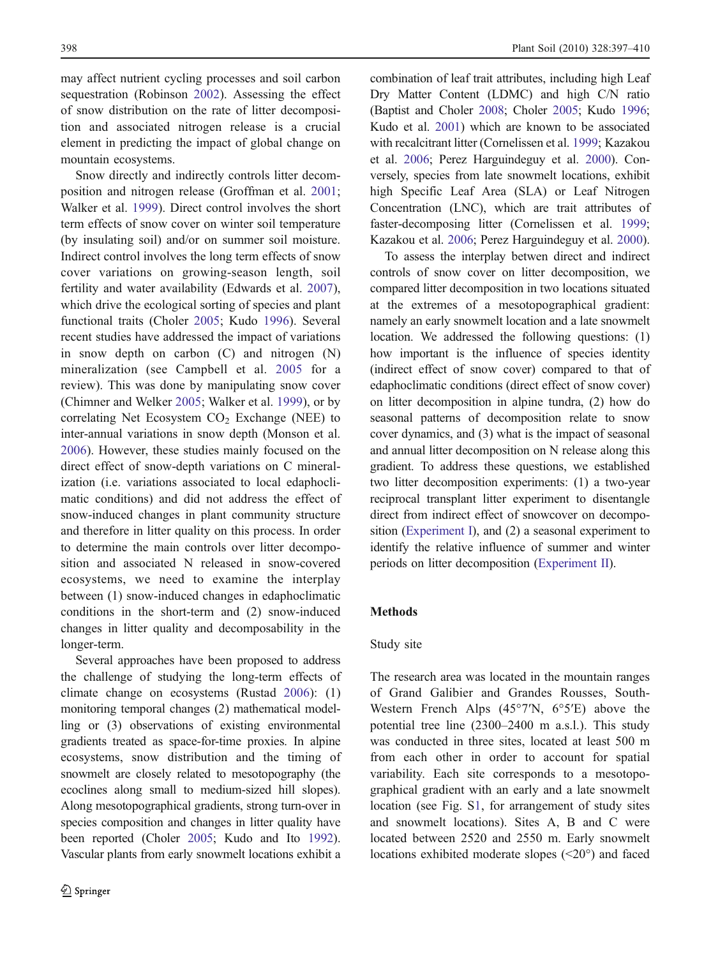may affect nutrient cycling processes and soil carbon sequestration (Robinson [2002](#page-13-0)). Assessing the effect of snow distribution on the rate of litter decomposition and associated nitrogen release is a crucial element in predicting the impact of global change on mountain ecosystems.

Snow directly and indirectly controls litter decomposition and nitrogen release (Groffman et al. [2001](#page-12-0); Walker et al. [1999\)](#page-13-0). Direct control involves the short term effects of snow cover on winter soil temperature (by insulating soil) and/or on summer soil moisture. Indirect control involves the long term effects of snow cover variations on growing-season length, soil fertility and water availability (Edwards et al. [2007](#page-12-0)), which drive the ecological sorting of species and plant functional traits (Choler [2005](#page-12-0); Kudo [1996\)](#page-12-0). Several recent studies have addressed the impact of variations in snow depth on carbon (C) and nitrogen (N) mineralization (see Campbell et al. [2005](#page-12-0) for a review). This was done by manipulating snow cover (Chimner and Welker [2005](#page-12-0); Walker et al. [1999](#page-13-0)), or by correlating Net Ecosystem  $CO<sub>2</sub>$  Exchange (NEE) to inter-annual variations in snow depth (Monson et al. [2006\)](#page-12-0). However, these studies mainly focused on the direct effect of snow-depth variations on C mineralization (i.e. variations associated to local edaphoclimatic conditions) and did not address the effect of snow-induced changes in plant community structure and therefore in litter quality on this process. In order to determine the main controls over litter decomposition and associated N released in snow-covered ecosystems, we need to examine the interplay between (1) snow-induced changes in edaphoclimatic conditions in the short-term and (2) snow-induced changes in litter quality and decomposability in the longer-term.

Several approaches have been proposed to address the challenge of studying the long-term effects of climate change on ecosystems (Rustad [2006](#page-13-0)): (1) monitoring temporal changes (2) mathematical modelling or (3) observations of existing environmental gradients treated as space-for-time proxies. In alpine ecosystems, snow distribution and the timing of snowmelt are closely related to mesotopography (the ecoclines along small to medium-sized hill slopes). Along mesotopographical gradients, strong turn-over in species composition and changes in litter quality have been reported (Choler [2005;](#page-12-0) Kudo and Ito [1992\)](#page-12-0). Vascular plants from early snowmelt locations exhibit a

combination of leaf trait attributes, including high Leaf Dry Matter Content (LDMC) and high C/N ratio (Baptist and Choler [2008](#page-12-0); Choler [2005](#page-12-0); Kudo [1996;](#page-12-0) Kudo et al. [2001\)](#page-12-0) which are known to be associated with recalcitrant litter (Cornelissen et al. [1999](#page-12-0); Kazakou et al. [2006](#page-12-0); Perez Harguindeguy et al. [2000](#page-13-0)). Conversely, species from late snowmelt locations, exhibit high Specific Leaf Area (SLA) or Leaf Nitrogen Concentration (LNC), which are trait attributes of faster-decomposing litter (Cornelissen et al. [1999;](#page-12-0) Kazakou et al. [2006](#page-12-0); Perez Harguindeguy et al. [2000\)](#page-13-0).

To assess the interplay betwen direct and indirect controls of snow cover on litter decomposition, we compared litter decomposition in two locations situated at the extremes of a mesotopographical gradient: namely an early snowmelt location and a late snowmelt location. We addressed the following questions: (1) how important is the influence of species identity (indirect effect of snow cover) compared to that of edaphoclimatic conditions (direct effect of snow cover) on litter decomposition in alpine tundra, (2) how do seasonal patterns of decomposition relate to snow cover dynamics, and (3) what is the impact of seasonal and annual litter decomposition on N release along this gradient. To address these questions, we established two litter decomposition experiments: (1) a two-year reciprocal transplant litter experiment to disentangle direct from indirect effect of snowcover on decomposition [\(Experiment I\)](#page-2-0), and (2) a seasonal experiment to identify the relative influence of summer and winter periods on litter decomposition [\(Experiment II\)](#page-3-0).

# Methods

# Study site

The research area was located in the mountain ranges of Grand Galibier and Grandes Rousses, South-Western French Alps (45°7′N, 6°5′E) above the potential tree line (2300–2400 m a.s.l.). This study was conducted in three sites, located at least 500 m from each other in order to account for spatial variability. Each site corresponds to a mesotopographical gradient with an early and a late snowmelt location (see Fig. S1, for arrangement of study sites and snowmelt locations). Sites A, B and C were located between 2520 and 2550 m. Early snowmelt locations exhibited moderate slopes (<20°) and faced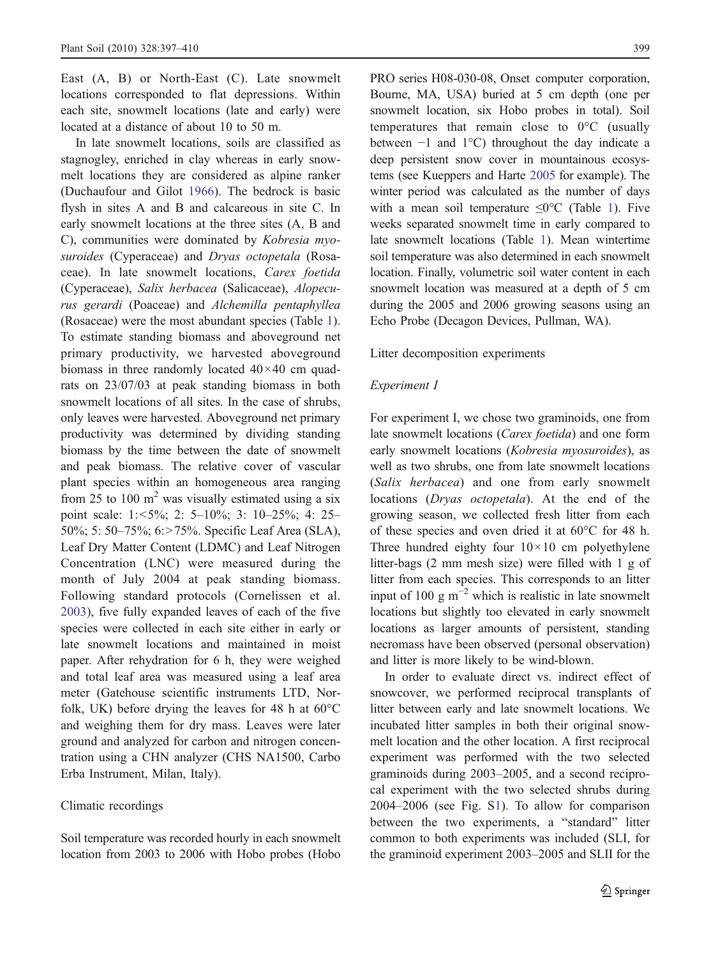<span id="page-2-0"></span>East (A, B) or North-East (C). Late snowmelt locations corresponded to flat depressions. Within each site, snowmelt locations (late and early) were located at a distance of about 10 to 50 m.

In late snowmelt locations, soils are classified as stagnogley, enriched in clay whereas in early snowmelt locations they are considered as alpine ranker (Duchaufour and Gilot [1966\)](#page-12-0). The bedrock is basic flysh in sites A and B and calcareous in site C. In early snowmelt locations at the three sites (A, B and C), communities were dominated by Kobresia myosuroides (Cyperaceae) and Dryas octopetala (Rosaceae). In late snowmelt locations, Carex foetida (Cyperaceae), Salix herbacea (Salicaceae), Alopecurus gerardi (Poaceae) and Alchemilla pentaphyllea (Rosaceae) were the most abundant species (Table [1](#page-3-0)). To estimate standing biomass and aboveground net primary productivity, we harvested aboveground biomass in three randomly located 40×40 cm quadrats on 23/07/03 at peak standing biomass in both snowmelt locations of all sites. In the case of shrubs, only leaves were harvested. Aboveground net primary productivity was determined by dividing standing biomass by the time between the date of snowmelt and peak biomass. The relative cover of vascular plant species within an homogeneous area ranging from 25 to 100  $m<sup>2</sup>$  was visually estimated using a six point scale: 1:<5%; 2: 5–10%; 3: 10–25%; 4: 25– 50%; 5: 50–75%; 6:>75%. Specific Leaf Area (SLA), Leaf Dry Matter Content (LDMC) and Leaf Nitrogen Concentration (LNC) were measured during the month of July 2004 at peak standing biomass. Following standard protocols (Cornelissen et al. [2003\)](#page-12-0), five fully expanded leaves of each of the five species were collected in each site either in early or late snowmelt locations and maintained in moist paper. After rehydration for 6 h, they were weighed and total leaf area was measured using a leaf area meter (Gatehouse scientific instruments LTD, Norfolk, UK) before drying the leaves for 48 h at  $60^{\circ}$ C and weighing them for dry mass. Leaves were later ground and analyzed for carbon and nitrogen concentration using a CHN analyzer (CHS NA1500, Carbo Erba Instrument, Milan, Italy).

#### Climatic recordings

Soil temperature was recorded hourly in each snowmelt location from 2003 to 2006 with Hobo probes (Hobo

PRO series H08-030-08, Onset computer corporation, Bourne, MA, USA) buried at 5 cm depth (one per snowmelt location, six Hobo probes in total). Soil temperatures that remain close to 0°C (usually between −1 and 1°C) throughout the day indicate a deep persistent snow cover in mountainous ecosystems (see Kueppers and Harte [2005](#page-12-0) for example). The winter period was calculated as the number of days with a mean soil temperature  $\leq 0^{\circ}$ C (Table [1](#page-3-0)). Five weeks separated snowmelt time in early compared to late snowmelt locations (Table [1\)](#page-3-0). Mean wintertime soil temperature was also determined in each snowmelt location. Finally, volumetric soil water content in each snowmelt location was measured at a depth of 5 cm during the 2005 and 2006 growing seasons using an Echo Probe (Decagon Devices, Pullman, WA).

## Litter decomposition experiments

# Experiment I

For experiment I, we chose two graminoids, one from late snowmelt locations (Carex foetida) and one form early snowmelt locations (Kobresia myosuroides), as well as two shrubs, one from late snowmelt locations (Salix herbacea) and one from early snowmelt locations (Dryas octopetala). At the end of the growing season, we collected fresh litter from each of these species and oven dried it at 60°C for 48 h. Three hundred eighty four  $10\times10$  cm polyethylene litter-bags (2 mm mesh size) were filled with 1 g of litter from each species. This corresponds to an litter input of 100 g  $m^{-2}$  which is realistic in late snowmelt locations but slightly too elevated in early snowmelt locations as larger amounts of persistent, standing necromass have been observed (personal observation) and litter is more likely to be wind-blown.

In order to evaluate direct vs. indirect effect of snowcover, we performed reciprocal transplants of litter between early and late snowmelt locations. We incubated litter samples in both their original snowmelt location and the other location. A first reciprocal experiment was performed with the two selected graminoids during 2003–2005, and a second reciprocal experiment with the two selected shrubs during 2004–2006 (see Fig. S1). To allow for comparison between the two experiments, a "standard" litter common to both experiments was included (SLI, for the graminoid experiment 2003–2005 and SLII for the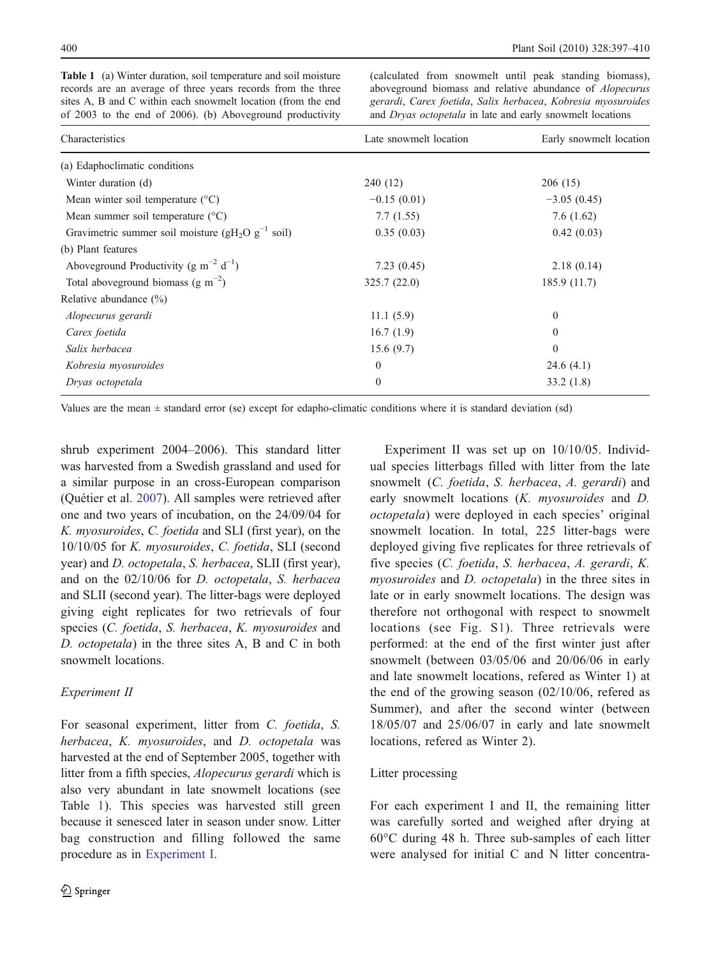| records are all average of three years records from the three<br>sites A, B and C within each snowmelt location (from the end<br>of 2003 to the end of 2006). (b) Aboveground productivity | abovegiound biomass and relative abundance of <i>Alopecurus</i><br>gerardi, Carex foetida, Salix herbacea, Kobresia myosuroides<br>and <i>Dryas octopetala</i> in late and early snowmelt locations |                         |  |
|--------------------------------------------------------------------------------------------------------------------------------------------------------------------------------------------|-----------------------------------------------------------------------------------------------------------------------------------------------------------------------------------------------------|-------------------------|--|
| Characteristics                                                                                                                                                                            | Late snowmelt location                                                                                                                                                                              | Early snowmelt location |  |
| (a) Edaphoclimatic conditions                                                                                                                                                              |                                                                                                                                                                                                     |                         |  |
| Winter duration (d)                                                                                                                                                                        | 240 (12)                                                                                                                                                                                            | 206(15)                 |  |
| Mean winter soil temperature $(^{\circ}C)$                                                                                                                                                 | $-0.15(0.01)$                                                                                                                                                                                       | $-3.05(0.45)$           |  |
| Mean summer soil temperature $(^{\circ}C)$                                                                                                                                                 | 7.7(1.55)                                                                                                                                                                                           | 7.6(1.62)               |  |
| Gravimetric summer soil moisture ( $gH_2O\ g^{-1}$ soil)                                                                                                                                   | 0.35(0.03)                                                                                                                                                                                          | 0.42(0.03)              |  |
| (b) Plant features                                                                                                                                                                         |                                                                                                                                                                                                     |                         |  |
| Aboveground Productivity (g m <sup>-2</sup> d <sup>-1</sup> )                                                                                                                              | 7.23(0.45)                                                                                                                                                                                          | 2.18(0.14)              |  |
| Total aboveground biomass $(g m^{-2})$                                                                                                                                                     | 325.7(22.0)                                                                                                                                                                                         | 185.9 (11.7)            |  |
| Relative abundance $(\%)$                                                                                                                                                                  |                                                                                                                                                                                                     |                         |  |
| Alopecurus gerardi                                                                                                                                                                         | 11.1(5.9)                                                                                                                                                                                           | 0                       |  |
| Carex foetida                                                                                                                                                                              | 16.7(1.9)                                                                                                                                                                                           | 0                       |  |
| Salix herbacea                                                                                                                                                                             | 15.6(9.7)                                                                                                                                                                                           | $\Omega$                |  |
| Kobresia myosuroides                                                                                                                                                                       | $\mathbf{0}$                                                                                                                                                                                        | 24.6(4.1)               |  |
| Dryas octopetala                                                                                                                                                                           | $\Omega$                                                                                                                                                                                            | 33.2(1.8)               |  |

<span id="page-3-0"></span>Table 1 (a) Winter duration, soil temperature and soil moisture records are an average of three years records from the three

(calculated from snowmelt until peak standing biomass), aboveground biomass and relative abundance of *Alonecu* 

Values are the mean  $\pm$  standard error (se) except for edapho-climatic conditions where it is standard deviation (sd)

shrub experiment 2004–2006). This standard litter was harvested from a Swedish grassland and used for a similar purpose in an cross-European comparison (Quétier et al. [2007](#page-13-0)). All samples were retrieved after one and two years of incubation, on the 24/09/04 for K. myosuroides, C. foetida and SLI (first year), on the 10/10/05 for K. myosuroides, C. foetida, SLI (second year) and D. octopetala, S. herbacea, SLII (first year), and on the 02/10/06 for D. octopetala, S. herbacea and SLII (second year). The litter-bags were deployed giving eight replicates for two retrievals of four species (C. foetida, S. herbacea, K. myosuroides and D. octopetala) in the three sites A, B and C in both snowmelt locations.

# Experiment II

For seasonal experiment, litter from C. foetida, S. herbacea, K. myosuroides, and D. octopetala was harvested at the end of September 2005, together with litter from a fifth species, Alopecurus gerardi which is also very abundant in late snowmelt locations (see Table 1). This species was harvested still green because it senesced later in season under snow. Litter bag construction and filling followed the same procedure as in [Experiment I.](#page-2-0)

Experiment II was set up on 10/10/05. Individual species litterbags filled with litter from the late snowmelt (C. foetida, S. herbacea, A. gerardi) and early snowmelt locations (K. myosuroides and D. octopetala) were deployed in each species' original snowmelt location. In total, 225 litter-bags were deployed giving five replicates for three retrievals of five species (C. foetida, S. herbacea, A. gerardi, K. myosuroides and D. octopetala) in the three sites in late or in early snowmelt locations. The design was therefore not orthogonal with respect to snowmelt locations (see Fig. S1). Three retrievals were performed: at the end of the first winter just after snowmelt (between 03/05/06 and 20/06/06 in early and late snowmelt locations, refered as Winter 1) at the end of the growing season (02/10/06, refered as Summer), and after the second winter (between 18/05/07 and 25/06/07 in early and late snowmelt locations, refered as Winter 2).

# Litter processing

For each experiment I and II, the remaining litter was carefully sorted and weighed after drying at 60°C during 48 h. Three sub-samples of each litter were analysed for initial C and N litter concentra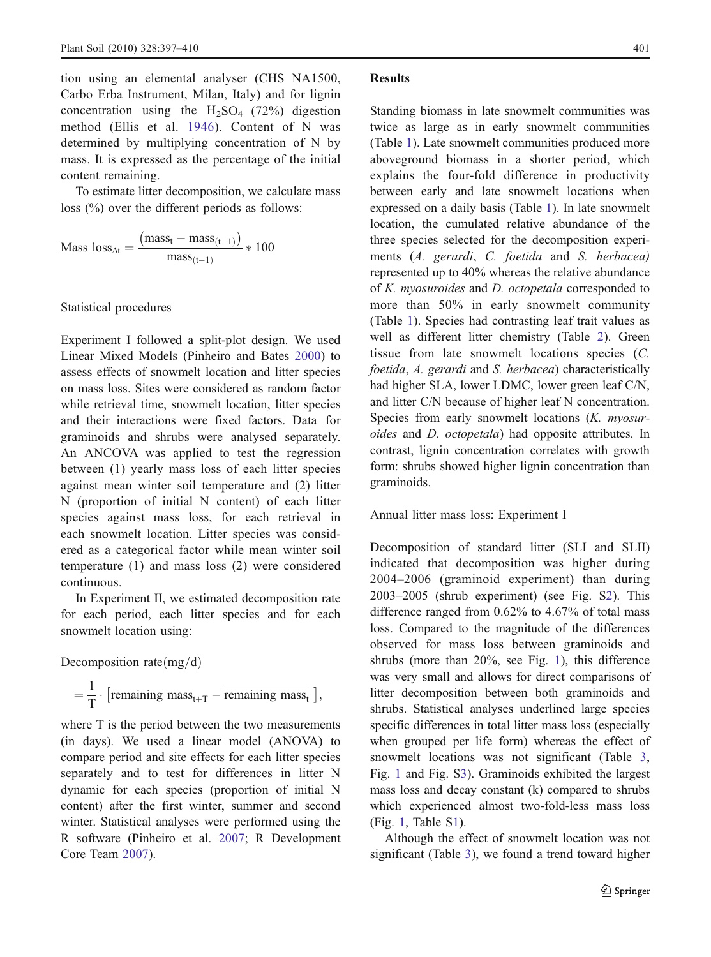tion using an elemental analyser (CHS NA1500, Carbo Erba Instrument, Milan, Italy) and for lignin concentration using the  $H_2SO_4$  (72%) digestion method (Ellis et al. [1946](#page-12-0)). Content of N was determined by multiplying concentration of N by mass. It is expressed as the percentage of the initial content remaining.

To estimate litter decomposition, we calculate mass loss (%) over the different periods as follows:

Mass loss<sub>At</sub> = 
$$
\frac{(\text{mass}_{t} - \text{mass}_{(t-1)})}{\text{mass}_{(t-1)}} \times 100
$$

#### Statistical procedures

Experiment I followed a split-plot design. We used Linear Mixed Models (Pinheiro and Bates [2000\)](#page-13-0) to assess effects of snowmelt location and litter species on mass loss. Sites were considered as random factor while retrieval time, snowmelt location, litter species and their interactions were fixed factors. Data for graminoids and shrubs were analysed separately. An ANCOVA was applied to test the regression between (1) yearly mass loss of each litter species against mean winter soil temperature and (2) litter N (proportion of initial N content) of each litter species against mass loss, for each retrieval in each snowmelt location. Litter species was considered as a categorical factor while mean winter soil temperature (1) and mass loss (2) were considered continuous.

In Experiment II, we estimated decomposition rate for each period, each litter species and for each snowmelt location using:

Decomposition rate  $\text{mg/d)}$ 

$$
= \frac{1}{T} \cdot \left[ \text{remaining mass}_{t+T} - \overline{\text{remaining mass}_{t}} \right],
$$

where T is the period between the two measurements (in days). We used a linear model (ANOVA) to compare period and site effects for each litter species separately and to test for differences in litter N dynamic for each species (proportion of initial N content) after the first winter, summer and second winter. Statistical analyses were performed using the R software (Pinheiro et al. [2007](#page-13-0); R Development Core Team [2007](#page-13-0)).

#### Results

Standing biomass in late snowmelt communities was twice as large as in early snowmelt communities (Table [1\)](#page-3-0). Late snowmelt communities produced more aboveground biomass in a shorter period, which explains the four-fold difference in productivity between early and late snowmelt locations when expressed on a daily basis (Table [1](#page-3-0)). In late snowmelt location, the cumulated relative abundance of the three species selected for the decomposition experiments (A. gerardi, C. foetida and S. herbacea) represented up to 40% whereas the relative abundance of K. myosuroides and D. octopetala corresponded to more than 50% in early snowmelt community (Table [1](#page-3-0)). Species had contrasting leaf trait values as well as different litter chemistry (Table [2\)](#page-5-0). Green tissue from late snowmelt locations species (C. foetida, A. gerardi and S. herbacea) characteristically had higher SLA, lower LDMC, lower green leaf C/N, and litter C/N because of higher leaf N concentration. Species from early snowmelt locations (*K. myosur*oides and D. octopetala) had opposite attributes. In contrast, lignin concentration correlates with growth form: shrubs showed higher lignin concentration than graminoids.

## Annual litter mass loss: Experiment I

Decomposition of standard litter (SLI and SLII) indicated that decomposition was higher during 2004–2006 (graminoid experiment) than during 2003–2005 (shrub experiment) (see Fig. S2). This difference ranged from 0.62% to 4.67% of total mass loss. Compared to the magnitude of the differences observed for mass loss between graminoids and shrubs (more than 20%, see Fig. [1\)](#page-6-0), this difference was very small and allows for direct comparisons of litter decomposition between both graminoids and shrubs. Statistical analyses underlined large species specific differences in total litter mass loss (especially when grouped per life form) whereas the effect of snowmelt locations was not significant (Table [3,](#page-6-0) Fig. [1](#page-6-0) and Fig. S3). Graminoids exhibited the largest mass loss and decay constant (k) compared to shrubs which experienced almost two-fold-less mass loss (Fig. [1](#page-6-0), Table S1).

Although the effect of snowmelt location was not significant (Table [3](#page-6-0)), we found a trend toward higher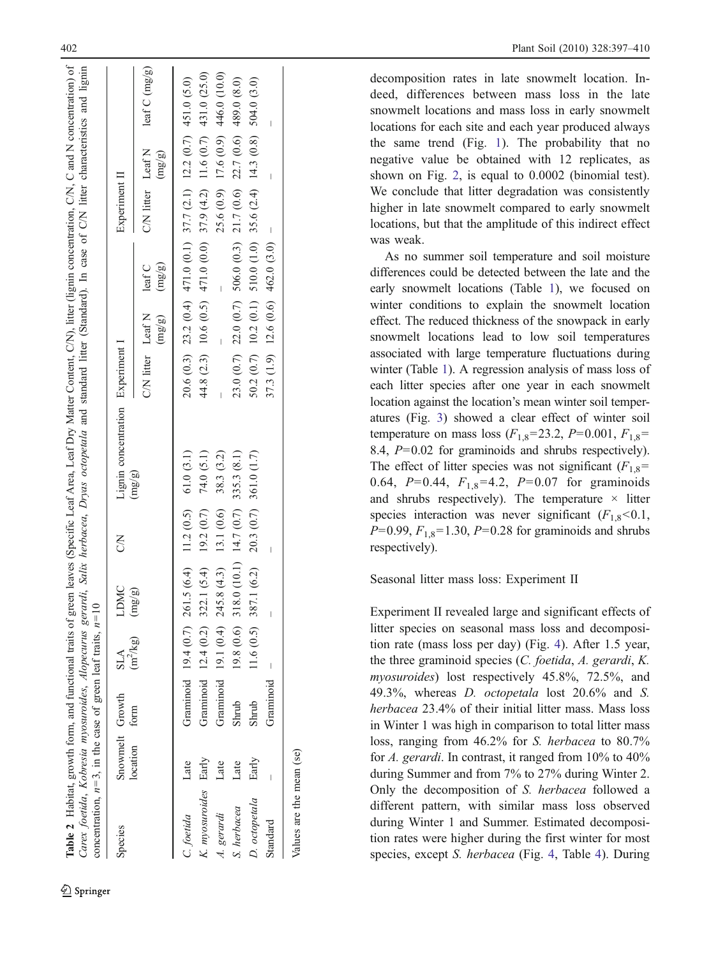| concentration, $n=3$ , in the case of green leaf traits, $n=10$ |                                  |           |                          |                                                        |   | Carex foetida, Kobresia myosuroides, Alopecurus gerardi, Salix herbacea, Dryas octopetala and standard litter (Standard). In case of C/N litter characteristics and lignin |                                               |                                                                           |               |        |                                       |
|-----------------------------------------------------------------|----------------------------------|-----------|--------------------------|--------------------------------------------------------|---|----------------------------------------------------------------------------------------------------------------------------------------------------------------------------|-----------------------------------------------|---------------------------------------------------------------------------|---------------|--------|---------------------------------------|
| Species                                                         | Snowmelt Growth<br>location form |           | $(m^2/kg)$<br><b>SLA</b> | <b>LDMC</b>                                            | S | Lignin concentration Experiment I                                                                                                                                          |                                               |                                                                           | Experiment II |        |                                       |
|                                                                 |                                  |           |                          | $\left(\text{mg/g} \right)$                            |   | $\left(\text{mg/g}\right)$                                                                                                                                                 | C/N litter Leaf N leaf C<br>$(\mathrm{mg/g})$ | (mg/gn)                                                                   |               | (mg/g) | $CN$ litter Leaf N leaf C (mg/g)      |
| C. foetida                                                      | Late                             |           |                          | Graminoid 19.4 (0.7) 261.5 (6.4) 11.2 (0.5) 61.0 (3.1) |   |                                                                                                                                                                            |                                               | $20.6(0.3)$ $23.2(0.4)$ $471.0(0.1)$ $37.7(2.1)$ $12.2(0.7)$ $451.0(5.0)$ |               |        |                                       |
| K. myosuroides Early                                            |                                  |           |                          | Graminoid 12.4 (0.2) 322.1 (5.4) 19.2 (0.7)            |   | 74.0 (5.1)                                                                                                                                                                 |                                               | 44.8 (2.3) 10.6 (0.5) 471.0 (0.0) 37.9 (4.2) 11.6 (0.7) 431.0 (25.0)      |               |        |                                       |
| A. gerardi                                                      | Late                             |           |                          | Graminoid 19.1 (0.4) 245.8 (4.3) 13.1 (0.6)            |   | 38.3 (3.2)                                                                                                                                                                 |                                               |                                                                           |               |        | $25.6(0.9)$ 17.6 $(0.9)$ 446.0 (10.0) |
| S. herbacea                                                     | Late                             | Shrub     |                          | $19.8(0.6)$ 318.0 (10.1) 14.7 (0.7) 335.3 (8.1)        |   |                                                                                                                                                                            |                                               | $23.0(0.7)$ $22.0(0.7)$ $506.0(0.3)$ $21.7(0.6)$ $22.7(0.6)$ 489.0(8.0)   |               |        |                                       |
| D. octopetala                                                   | Early                            | Shrub     |                          | 11.6 $(0.5)$ 387.1 $(6.2)$ 20.3 $(0.7)$ 361.0 $(1.7)$  |   |                                                                                                                                                                            |                                               | 50.2 (0.7) 10.2 (0.1) 510.0 (1.0) 35.6 (2.4) 14.3 (0.8) 504.0 (3.0)       |               |        |                                       |
| Standard                                                        |                                  | Graminoid |                          |                                                        |   |                                                                                                                                                                            |                                               | $37.3(1.9)$ 12.6 (0.6) 462.0 (3.0) -                                      |               |        |                                       |
| Values are the mean (se)                                        |                                  |           |                          |                                                        |   |                                                                                                                                                                            |                                               |                                                                           |               |        |                                       |

decomposition rates in late snowmelt location. Indeed, differences between mass loss in the late snowmelt locations and mass loss in early snowmelt locations for each site and each year produced always the same trend (Fig. [1](#page-6-0)). The probability that no negative value be obtained with 12 replicates, as shown on Fig. [2](#page-7-0), is equal to 0.0002 (binomial test). We conclude that litter degradation was consistently higher in late snowmelt compared to early snowmelt locations, but that the amplitude of this indirect effect was weak.

As no summer soil temperature and soil moisture differences could be detected between the late and the early snowmelt locations (Table [1](#page-3-0)), we focused on winter conditions to explain the snowmelt location effect. The reduced thickness of the snowpack in early snowmelt locations lead to low soil temperatures associated with large temperature fluctuations during winter (Table [1\)](#page-3-0). A regression analysis of mass loss of each litter species after one year in each snowmelt location against the location 's mean winter soil temperatures (Fig. [3](#page-7-0)) showed a clear effect of winter soil temperature on mass loss  $(F_{1,8}=23.2, P=0.001, F_{1,8}=$ 8.4, P=0.02 for graminoids and shrubs respectively). The effect of litter species was not significant  $(F_{1,8} =$ 0.64,  $P=0.44$ ,  $F_{1,8}=4.2$ ,  $P=0.07$  for graminoids and shrubs respectively). The temperature  $\times$  litter species interaction was never significant  $(F_{1,8} < 0.1,$  $P=0.99, F_{1,8}=1.30, P=0.28$  for graminoids and shrubs respectively).

Seasonal litter mass loss: Experiment II

Experiment II revealed large and significant effects of litter species on seasonal mass loss and decomposition rate (mass loss per day) (Fig. [4\)](#page-8-0). After 1.5 year, the three graminoid species (C. foetida, A. gerardi, K. myosuroides) lost respectively 45.8%, 72.5%, and 49.3%, whereas D. octopetala lost 20.6% and S. herbacea 23.4% of their initial litter mass. Mass loss in Winter 1 was high in comparison to total litter mass loss, ranging from 46.2% for S. herbacea to 80.7% for A. gerardi. In contrast, it ranged from 10% to 40% during Summer and from 7% to 27% during Winter 2. Only the decomposition of S. herbacea followed a different pattern, with similar mass loss observed during Winter 1 and Summer. Estimated decomposition rates were higher during the first winter for most species, except S. herbacea (Fig. [4](#page-9-0), Table 4). During

<span id="page-5-0"></span>Table 2 Habitat, growth form, and functional traits of green leaves (Specific Leaf Area, Leaf Dry Matter Content, C/N), litter (lignin concentration, C/N, C and N concentration) of

Habitat, growth form, and functional traits of green leaves (Specific Leaf Area, Leaf Dry Matter Content, C/N), litter (lignin concentration, C/N, C and N concentration) of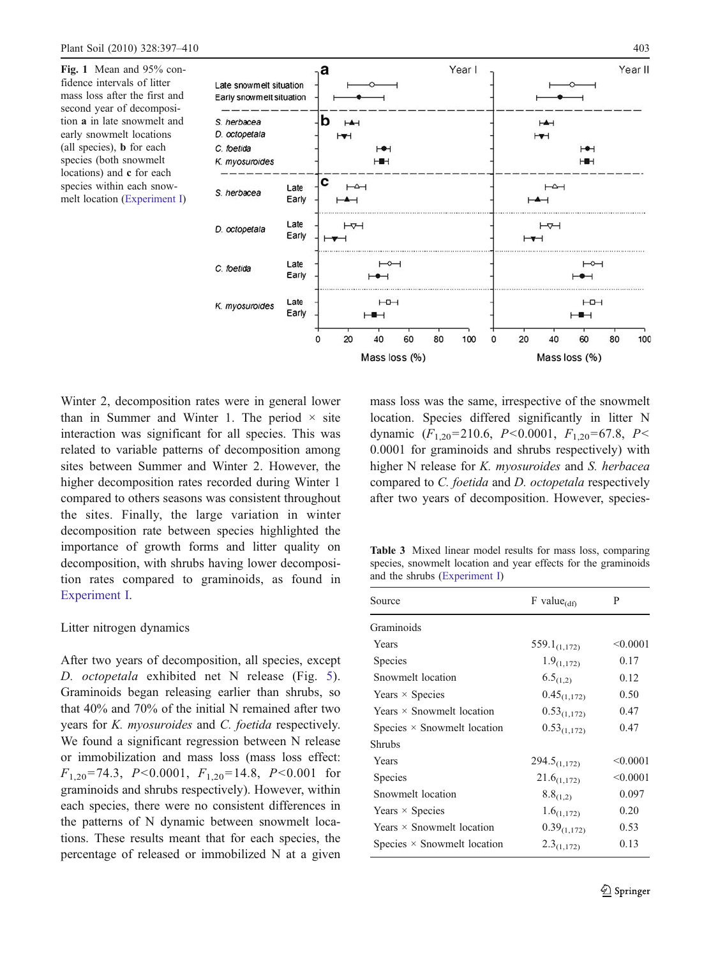<span id="page-6-0"></span>Fig. 1 Mean and 95% confidence intervals of litter mass loss after the first and second year of decomposition a in late snowmelt and early snowmelt locations (all species), b for each species (both snowmelt locations) and c for each species within each snowmelt location [\(Experiment I](#page-2-0))



Winter 2, decomposition rates were in general lower than in Summer and Winter 1. The period  $\times$  site interaction was significant for all species. This was related to variable patterns of decomposition among sites between Summer and Winter 2. However, the higher decomposition rates recorded during Winter 1 compared to others seasons was consistent throughout the sites. Finally, the large variation in winter decomposition rate between species highlighted the importance of growth forms and litter quality on decomposition, with shrubs having lower decomposition rates compared to graminoids, as found in [Experiment I](#page-2-0).

# Litter nitrogen dynamics

After two years of decomposition, all species, except D. octopetala exhibited net N release (Fig. [5](#page-9-0)). Graminoids began releasing earlier than shrubs, so that 40% and 70% of the initial N remained after two years for K. myosuroides and C. foetida respectively. We found a significant regression between N release or immobilization and mass loss (mass loss effect:  $F_{1,20}$ =74.3, P<0.0001,  $F_{1,20}$ =14.8, P<0.001 for graminoids and shrubs respectively). However, within each species, there were no consistent differences in the patterns of N dynamic between snowmelt locations. These results meant that for each species, the percentage of released or immobilized N at a given mass loss was the same, irrespective of the snowmelt location. Species differed significantly in litter N dynamic  $(F_{1,20} = 210.6, P < 0.0001, F_{1,20} = 67.8, P <$ 0.0001 for graminoids and shrubs respectively) with higher N release for K. *myosuroides* and S. herbacea compared to C. foetida and D. octopetala respectively after two years of decomposition. However, species-

Table 3 Mixed linear model results for mass loss, comparing species, snowmelt location and year effects for the graminoids and the shrubs [\(Experiment I](#page-2-0))

| Source                             | $F$ value $_{(df)}$      | P        |
|------------------------------------|--------------------------|----------|
| Graminoids                         |                          |          |
| Years                              | 559.1 <sub>(1,172)</sub> | < 0.0001 |
| Species                            | $1.9_{(1,172)}$          | 0.17     |
| Snowmelt location                  | $6.5_{(1,2)}$            | 0.12     |
| Years $\times$ Species             | $0.45_{(1,172)}$         | 0.50     |
| Years $\times$ Snowmelt location   | $0.53_{(1,172)}$         | 0.47     |
| Species $\times$ Snowmelt location | $0.53_{(1,172)}$         | 0.47     |
| <b>Shrubs</b>                      |                          |          |
| Years                              | $294.5_{(1,172)}$        | < 0.0001 |
| Species                            | $21.6_{(1,172)}$         | < 0.0001 |
| Snowmelt location                  | $8.8_{(1,2)}$            | 0.097    |
| Years $\times$ Species             | $1.6_{(1,172)}$          | 0.20     |
| Years $\times$ Snowmelt location   | $0.39_{(1,172)}$         | 0.53     |
| Species $\times$ Snowmelt location | $2.3_{(1,172)}$          | 0.13     |
|                                    |                          |          |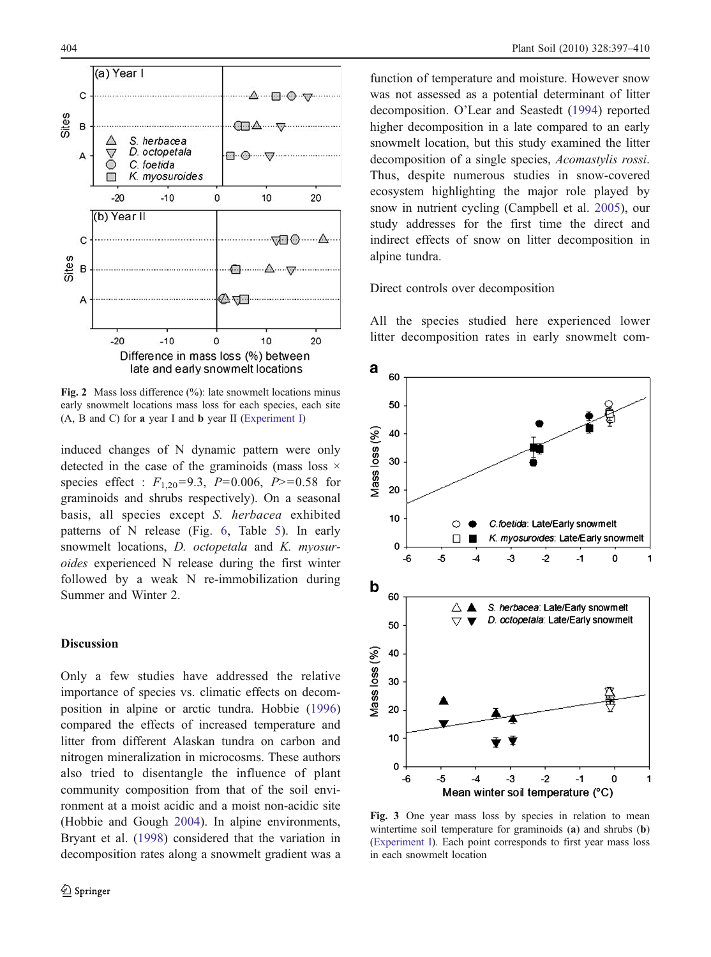<span id="page-7-0"></span>

Fig. 2 Mass loss difference (%): late snowmelt locations minus early snowmelt locations mass loss for each species, each site (A, B and C) for a year I and b year II ([Experiment I\)](#page-2-0)

induced changes of N dynamic pattern were only detected in the case of the graminoids (mass loss  $\times$ species effect :  $F_{1,20} = 9.3$ ,  $P = 0.006$ ,  $P > 0.58$  for graminoids and shrubs respectively). On a seasonal basis, all species except S. herbacea exhibited patterns of N release (Fig. [6,](#page-10-0) Table [5](#page-11-0)). In early snowmelt locations, *D. octopetala* and *K. myosur*oides experienced N release during the first winter followed by a weak N re-immobilization during Summer and Winter 2.

# **Discussion**

Only a few studies have addressed the relative importance of species vs. climatic effects on decomposition in alpine or arctic tundra. Hobbie ([1996\)](#page-12-0) compared the effects of increased temperature and litter from different Alaskan tundra on carbon and nitrogen mineralization in microcosms. These authors also tried to disentangle the influence of plant community composition from that of the soil environment at a moist acidic and a moist non-acidic site (Hobbie and Gough [2004](#page-12-0)). In alpine environments, Bryant et al. ([1998\)](#page-12-0) considered that the variation in decomposition rates along a snowmelt gradient was a function of temperature and moisture. However snow was not assessed as a potential determinant of litter decomposition. O'Lear and Seastedt [\(1994](#page-13-0)) reported higher decomposition in a late compared to an early snowmelt location, but this study examined the litter decomposition of a single species, Acomastylis rossi. Thus, despite numerous studies in snow-covered ecosystem highlighting the major role played by snow in nutrient cycling (Campbell et al. [2005\)](#page-12-0), our study addresses for the first time the direct and indirect effects of snow on litter decomposition in alpine tundra.

Direct controls over decomposition

All the species studied here experienced lower litter decomposition rates in early snowmelt com-



Fig. 3 One year mass loss by species in relation to mean wintertime soil temperature for graminoids (a) and shrubs (b) ([Experiment I](#page-2-0)). Each point corresponds to first year mass loss in each snowmelt location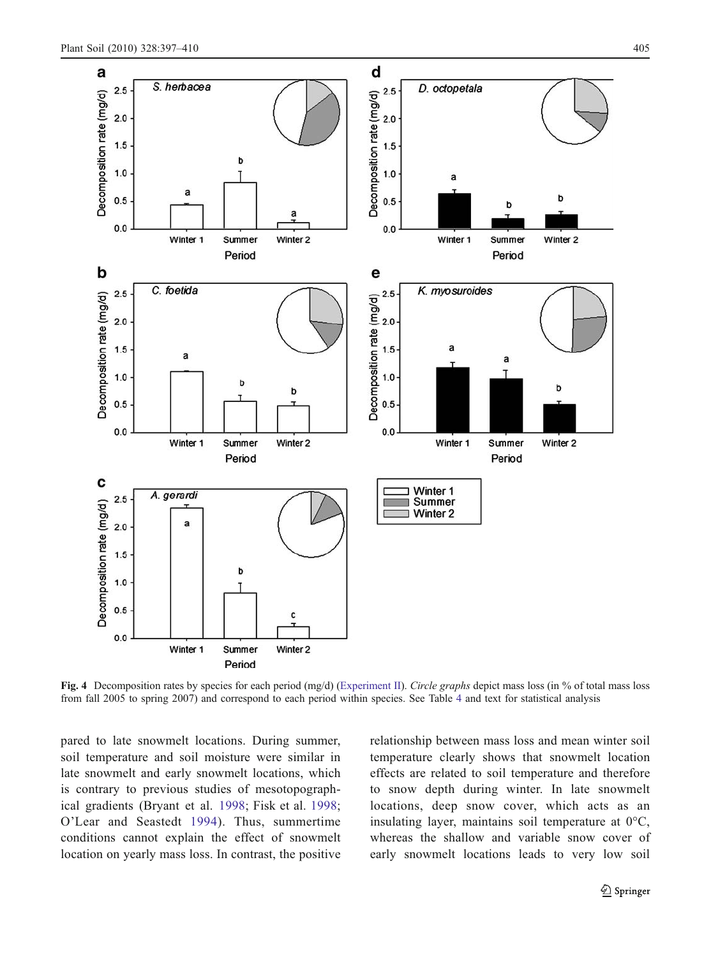<span id="page-8-0"></span>

Fig. 4 Decomposition rates by species for each period (mg/d) ([Experiment II\)](#page-3-0). Circle graphs depict mass loss (in % of total mass loss from fall 2005 to spring 2007) and correspond to each period within species. See Table [4](#page-9-0) and text for statistical analysis

pared to late snowmelt locations. During summer, soil temperature and soil moisture were similar in late snowmelt and early snowmelt locations, which is contrary to previous studies of mesotopographical gradients (Bryant et al. [1998;](#page-12-0) Fisk et al. [1998](#page-12-0); O'Lear and Seastedt [1994\)](#page-13-0). Thus, summertime conditions cannot explain the effect of snowmelt location on yearly mass loss. In contrast, the positive relationship between mass loss and mean winter soil temperature clearly shows that snowmelt location effects are related to soil temperature and therefore to snow depth during winter. In late snowmelt locations, deep snow cover, which acts as an insulating layer, maintains soil temperature at 0°C, whereas the shallow and variable snow cover of early snowmelt locations leads to very low soil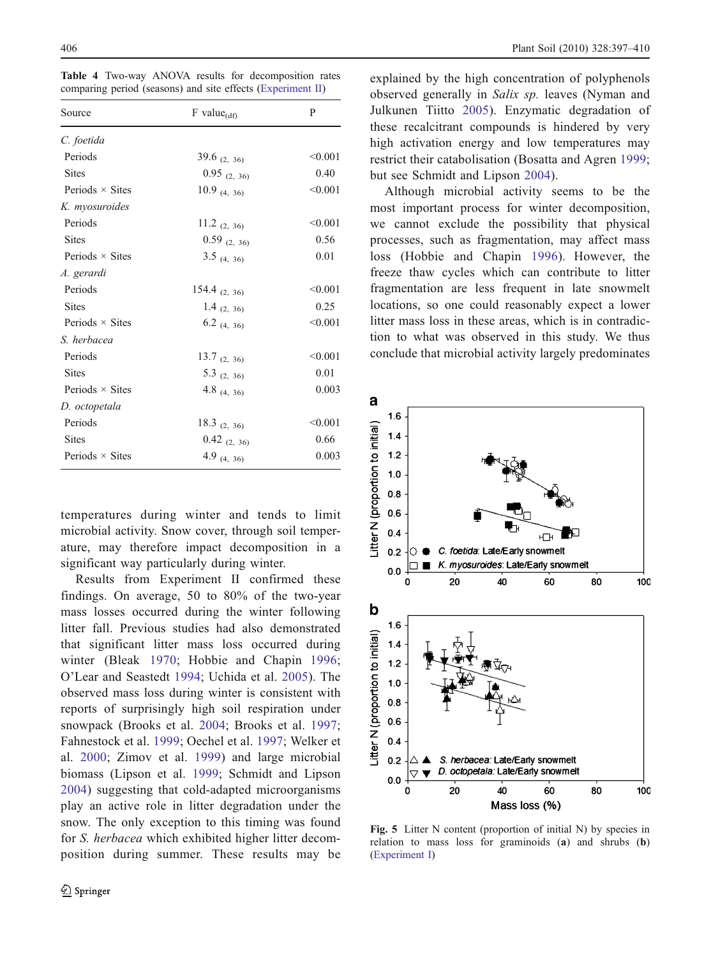<span id="page-9-0"></span>Table 4 Two-way ANOVA results for decomposition rates comparing period (seasons) and site effects ([Experiment II\)](#page-3-0)

| Source                 | $F$ value $_{(df)}$ | P       |
|------------------------|---------------------|---------|
| C. foetida             |                     |         |
| Periods                | 39.6 $(2, 36)$      | < 0.001 |
| <b>Sites</b>           | $0.95$ (2, 36)      | 0.40    |
| Periods $\times$ Sites | $10.9$ (4, 36)      | < 0.001 |
| K. myosuroides         |                     |         |
| Periods                | 11.2 $(2, 36)$      | < 0.001 |
| <b>Sites</b>           | $0.59$ (2, 36)      | 0.56    |
| Periods $\times$ Sites | $3.5$ (4, 36)       | 0.01    |
| A. gerardi             |                     |         |
| Periods                | 154.4 $(2, 36)$     | < 0.001 |
| <b>Sites</b>           | 1.4 $(2, 36)$       | 0.25    |
| Periods $\times$ Sites | $6.2$ (4, 36)       | < 0.001 |
| S. herbacea            |                     |         |
| Periods                | 13.7 $(2, 36)$      | < 0.001 |
| <b>Sites</b>           | $5.3$ (2, 36)       | 0.01    |
| Periods $\times$ Sites | 4.8 $(4, 36)$       | 0.003   |
| D. octopetala          |                     |         |
| Periods                | 18.3 $(2, 36)$      | < 0.001 |
| <b>Sites</b>           | $0.42$ (2, 36)      | 0.66    |
| Periods $\times$ Sites | 4.9 $(4, 36)$       | 0.003   |

temperatures during winter and tends to limit microbial activity. Snow cover, through soil temperature, may therefore impact decomposition in a significant way particularly during winter.

Results from Experiment II confirmed these findings. On average, 50 to 80% of the two-year mass losses occurred during the winter following litter fall. Previous studies had also demonstrated that significant litter mass loss occurred during winter (Bleak [1970;](#page-12-0) Hobbie and Chapin [1996](#page-12-0); O'Lear and Seastedt [1994](#page-13-0); Uchida et al. [2005](#page-13-0)). The observed mass loss during winter is consistent with reports of surprisingly high soil respiration under snowpack (Brooks et al. [2004;](#page-12-0) Brooks et al. [1997](#page-12-0); Fahnestock et al. [1999](#page-12-0); Oechel et al. [1997;](#page-13-0) Welker et al. [2000](#page-13-0); Zimov et al. [1999](#page-13-0)) and large microbial biomass (Lipson et al. [1999](#page-12-0); Schmidt and Lipson [2004](#page-13-0)) suggesting that cold-adapted microorganisms play an active role in litter degradation under the snow. The only exception to this timing was found for S. herbacea which exhibited higher litter decomposition during summer. These results may be explained by the high concentration of polyphenols observed generally in Salix sp. leaves (Nyman and Julkunen Tiitto [2005](#page-13-0)). Enzymatic degradation of these recalcitrant compounds is hindered by very high activation energy and low temperatures may restrict their catabolisation (Bosatta and Agren [1999;](#page-12-0) but see Schmidt and Lipson [2004](#page-13-0)).

Although microbial activity seems to be the most important process for winter decomposition, we cannot exclude the possibility that physical processes, such as fragmentation, may affect mass loss (Hobbie and Chapin [1996\)](#page-12-0). However, the freeze thaw cycles which can contribute to litter fragmentation are less frequent in late snowmelt locations, so one could reasonably expect a lower litter mass loss in these areas, which is in contradiction to what was observed in this study. We thus conclude that microbial activity largely predominates



Fig. 5 Litter N content (proportion of initial N) by species in relation to mass loss for graminoids (a) and shrubs (b) ([Experiment I](#page-2-0))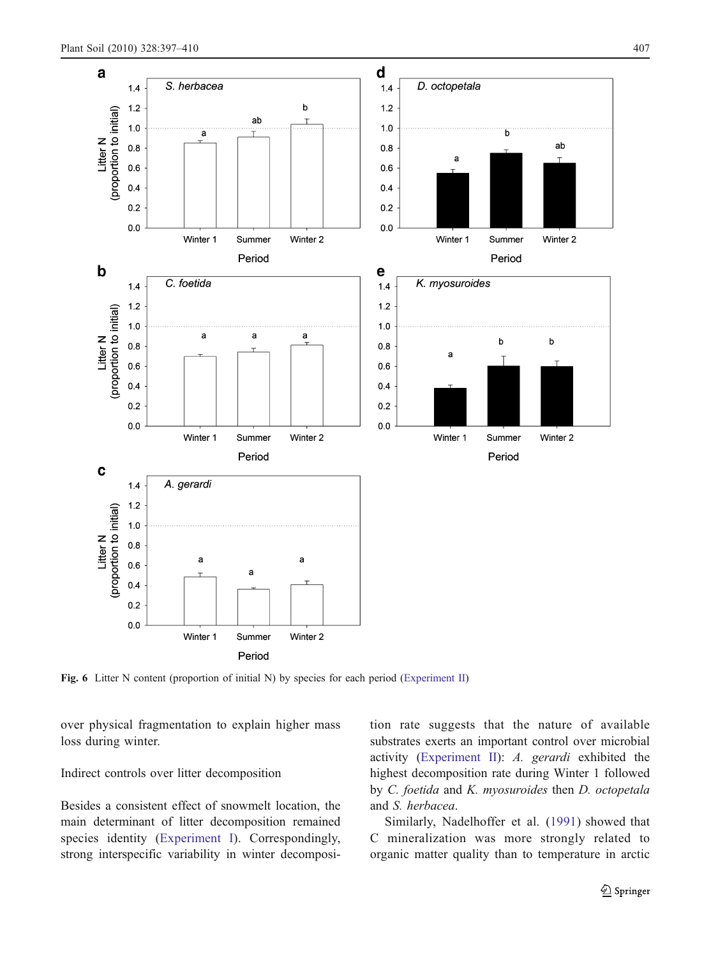<span id="page-10-0"></span>

Fig. 6 Litter N content (proportion of initial N) by species for each period ([Experiment II](#page-3-0))

over physical fragmentation to explain higher mass loss during winter.

Indirect controls over litter decomposition

Besides a consistent effect of snowmelt location, the main determinant of litter decomposition remained species identity ([Experiment I\)](#page-2-0). Correspondingly, strong interspecific variability in winter decomposition rate suggests that the nature of available substrates exerts an important control over microbial activity ([Experiment II\)](#page-3-0): A. gerardi exhibited the highest decomposition rate during Winter 1 followed by C. foetida and K. myosuroides then D. octopetala and S. herbacea.

Similarly, Nadelhoffer et al. ([1991\)](#page-12-0) showed that C mineralization was more strongly related to organic matter quality than to temperature in arctic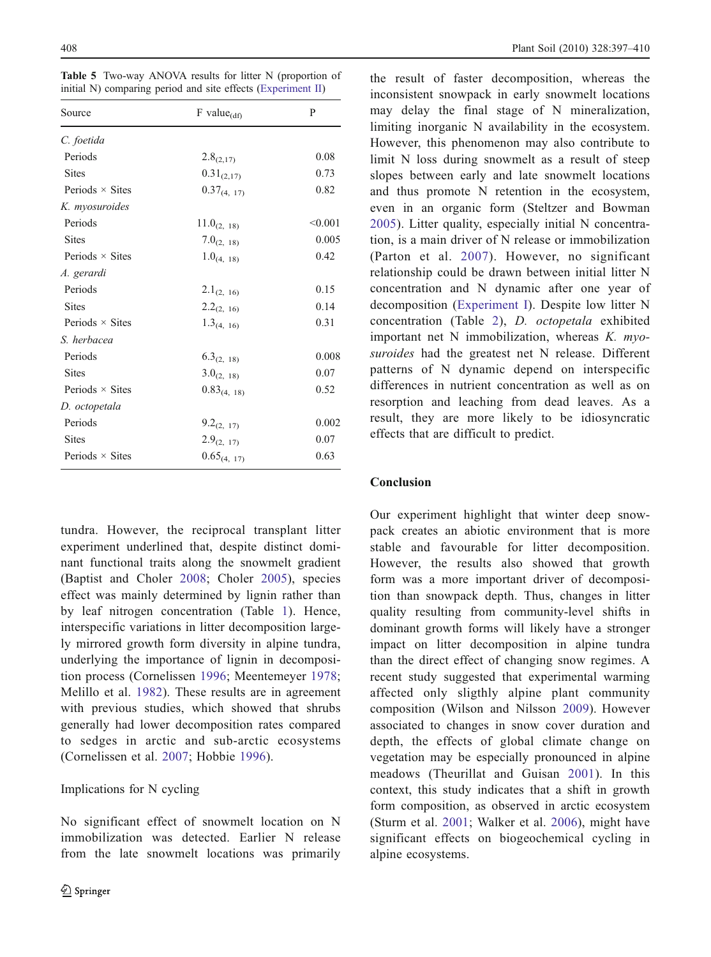<span id="page-11-0"></span>Table 5 Two-way ANOVA results for litter N (proportion of initial N) comparing period and site effects [\(Experiment II\)](#page-3-0)

| Source                 | $F$ value $_{(df)}$    | P       |
|------------------------|------------------------|---------|
| C. foetida             |                        |         |
| Periods                | $2.8_{(2,17)}$         | 0.08    |
| <b>Sites</b>           | $0.31_{(2,17)}$        | 0.73    |
| Periods $\times$ Sites | $0.37_{(4, 17)}$       | 0.82    |
| K. myosuroides         |                        |         |
| Periods                | $11.0_{(2, 18)}$       | < 0.001 |
| <b>Sites</b>           | $7.0_{(2, 18)}$        | 0.005   |
| Periods $\times$ Sites | $1.0_{(4, 18)}$        | 0.42    |
| A. gerardi             |                        |         |
| Periods                | $2.1_{(2, 16)}$        | 0.15    |
| <b>Sites</b>           | $2.2_{(2, 16)}$        | 0.14    |
| Periods $\times$ Sites | $1.3_{(4, 16)}$        | 0.31    |
| S. herbacea            |                        |         |
| Periods                | 6.3 <sub>(2, 18)</sub> | 0.008   |
| <b>Sites</b>           | $3.0_{(2, 18)}$        | 0.07    |
| Periods $\times$ Sites | $0.83_{(4, 18)}$       | 0.52    |
| D. octopetala          |                        |         |
| Periods                | $9.2_{(2, 17)}$        | 0.002   |
| <b>Sites</b>           | $2.9_{(2, 17)}$        | 0.07    |
| Periods $\times$ Sites | $0.65_{(4, 17)}$       | 0.63    |

tundra. However, the reciprocal transplant litter experiment underlined that, despite distinct dominant functional traits along the snowmelt gradient (Baptist and Choler [2008;](#page-12-0) Choler [2005](#page-12-0)), species effect was mainly determined by lignin rather than by leaf nitrogen concentration (Table [1\)](#page-3-0). Hence, interspecific variations in litter decomposition largely mirrored growth form diversity in alpine tundra, underlying the importance of lignin in decomposition process (Cornelissen [1996](#page-12-0); Meentemeyer [1978](#page-12-0); Melillo et al. [1982](#page-12-0)). These results are in agreement with previous studies, which showed that shrubs generally had lower decomposition rates compared to sedges in arctic and sub-arctic ecosystems (Cornelissen et al. [2007](#page-12-0); Hobbie [1996\)](#page-12-0).

# Implications for N cycling

No significant effect of snowmelt location on N immobilization was detected. Earlier N release from the late snowmelt locations was primarily the result of faster decomposition, whereas the inconsistent snowpack in early snowmelt locations may delay the final stage of N mineralization, limiting inorganic N availability in the ecosystem. However, this phenomenon may also contribute to limit N loss during snowmelt as a result of steep slopes between early and late snowmelt locations and thus promote N retention in the ecosystem, even in an organic form (Steltzer and Bowman [2005](#page-13-0)). Litter quality, especially initial N concentration, is a main driver of N release or immobilization (Parton et al. [2007](#page-13-0)). However, no significant relationship could be drawn between initial litter N concentration and N dynamic after one year of decomposition ([Experiment I](#page-2-0)). Despite low litter N concentration (Table [2](#page-5-0)), D. octopetala exhibited important net N immobilization, whereas K. myosuroides had the greatest net N release. Different patterns of N dynamic depend on interspecific differences in nutrient concentration as well as on resorption and leaching from dead leaves. As a result, they are more likely to be idiosyncratic effects that are difficult to predict.

# Conclusion

Our experiment highlight that winter deep snowpack creates an abiotic environment that is more stable and favourable for litter decomposition. However, the results also showed that growth form was a more important driver of decomposition than snowpack depth. Thus, changes in litter quality resulting from community-level shifts in dominant growth forms will likely have a stronger impact on litter decomposition in alpine tundra than the direct effect of changing snow regimes. A recent study suggested that experimental warming affected only sligthly alpine plant community composition (Wilson and Nilsson [2009\)](#page-13-0). However associated to changes in snow cover duration and depth, the effects of global climate change on vegetation may be especially pronounced in alpine meadows (Theurillat and Guisan [2001](#page-13-0)). In this context, this study indicates that a shift in growth form composition, as observed in arctic ecosystem (Sturm et al. [2001](#page-13-0); Walker et al. [2006\)](#page-13-0), might have significant effects on biogeochemical cycling in alpine ecosystems.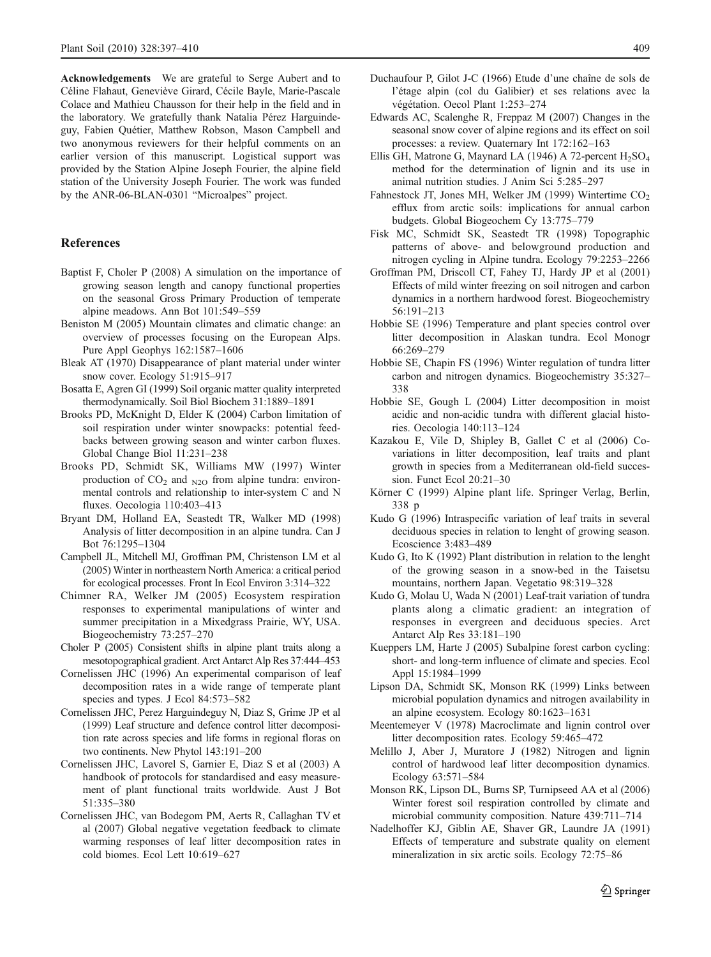<span id="page-12-0"></span>Acknowledgements We are grateful to Serge Aubert and to Céline Flahaut, Geneviève Girard, Cécile Bayle, Marie-Pascale Colace and Mathieu Chausson for their help in the field and in the laboratory. We gratefully thank Natalia Pérez Harguindeguy, Fabien Quétier, Matthew Robson, Mason Campbell and two anonymous reviewers for their helpful comments on an earlier version of this manuscript. Logistical support was provided by the Station Alpine Joseph Fourier, the alpine field station of the University Joseph Fourier. The work was funded by the ANR-06-BLAN-0301 "Microalpes" project.

# References

- Baptist F, Choler P (2008) A simulation on the importance of growing season length and canopy functional properties on the seasonal Gross Primary Production of temperate alpine meadows. Ann Bot 101:549–559
- Beniston M (2005) Mountain climates and climatic change: an overview of processes focusing on the European Alps. Pure Appl Geophys 162:1587–1606
- Bleak AT (1970) Disappearance of plant material under winter snow cover. Ecology 51:915–917
- Bosatta E, Agren GI (1999) Soil organic matter quality interpreted thermodynamically. Soil Biol Biochem 31:1889–1891
- Brooks PD, McKnight D, Elder K (2004) Carbon limitation of soil respiration under winter snowpacks: potential feedbacks between growing season and winter carbon fluxes. Global Change Biol 11:231–238
- Brooks PD, Schmidt SK, Williams MW (1997) Winter production of  $CO<sub>2</sub>$  and  $_{N2O}$  from alpine tundra: environmental controls and relationship to inter-system C and N fluxes. Oecologia 110:403–413
- Bryant DM, Holland EA, Seastedt TR, Walker MD (1998) Analysis of litter decomposition in an alpine tundra. Can J Bot 76:1295–1304
- Campbell JL, Mitchell MJ, Groffman PM, Christenson LM et al (2005) Winter in northeastern North America: a critical period for ecological processes. Front In Ecol Environ 3:314–322
- Chimner RA, Welker JM (2005) Ecosystem respiration responses to experimental manipulations of winter and summer precipitation in a Mixedgrass Prairie, WY, USA. Biogeochemistry 73:257–270
- Choler P (2005) Consistent shifts in alpine plant traits along a mesotopographical gradient. Arct Antarct Alp Res 37:444–453
- Cornelissen JHC (1996) An experimental comparison of leaf decomposition rates in a wide range of temperate plant species and types. J Ecol 84:573–582
- Cornelissen JHC, Perez Harguindeguy N, Diaz S, Grime JP et al (1999) Leaf structure and defence control litter decomposition rate across species and life forms in regional floras on two continents. New Phytol 143:191–200
- Cornelissen JHC, Lavorel S, Garnier E, Diaz S et al (2003) A handbook of protocols for standardised and easy measurement of plant functional traits worldwide. Aust J Bot 51:335–380
- Cornelissen JHC, van Bodegom PM, Aerts R, Callaghan TV et al (2007) Global negative vegetation feedback to climate warming responses of leaf litter decomposition rates in cold biomes. Ecol Lett 10:619–627
- Duchaufour P, Gilot J-C (1966) Etude d'une chaîne de sols de l'étage alpin (col du Galibier) et ses relations avec la végétation. Oecol Plant 1:253–274
- Edwards AC, Scalenghe R, Freppaz M (2007) Changes in the seasonal snow cover of alpine regions and its effect on soil processes: a review. Quaternary Int 172:162–163
- Ellis GH, Matrone G, Maynard LA (1946) A 72-percent  $H_2SO_4$ method for the determination of lignin and its use in animal nutrition studies. J Anim Sci 5:285–297
- Fahnestock JT, Jones MH, Welker JM (1999) Wintertime CO<sub>2</sub> efflux from arctic soils: implications for annual carbon budgets. Global Biogeochem Cy 13:775–779
- Fisk MC, Schmidt SK, Seastedt TR (1998) Topographic patterns of above- and belowground production and nitrogen cycling in Alpine tundra. Ecology 79:2253–2266
- Groffman PM, Driscoll CT, Fahey TJ, Hardy JP et al (2001) Effects of mild winter freezing on soil nitrogen and carbon dynamics in a northern hardwood forest. Biogeochemistry 56:191–213
- Hobbie SE (1996) Temperature and plant species control over litter decomposition in Alaskan tundra. Ecol Monogr 66:269–279
- Hobbie SE, Chapin FS (1996) Winter regulation of tundra litter carbon and nitrogen dynamics. Biogeochemistry 35:327– 338
- Hobbie SE, Gough L (2004) Litter decomposition in moist acidic and non-acidic tundra with different glacial histories. Oecologia 140:113–124
- Kazakou E, Vile D, Shipley B, Gallet C et al (2006) Covariations in litter decomposition, leaf traits and plant growth in species from a Mediterranean old-field succession. Funct Ecol 20:21–30
- Körner C (1999) Alpine plant life. Springer Verlag, Berlin, 338 p
- Kudo G (1996) Intraspecific variation of leaf traits in several deciduous species in relation to lenght of growing season. Ecoscience 3:483–489
- Kudo G, Ito K (1992) Plant distribution in relation to the lenght of the growing season in a snow-bed in the Taisetsu mountains, northern Japan. Vegetatio 98:319–328
- Kudo G, Molau U, Wada N (2001) Leaf-trait variation of tundra plants along a climatic gradient: an integration of responses in evergreen and deciduous species. Arct Antarct Alp Res 33:181–190
- Kueppers LM, Harte J (2005) Subalpine forest carbon cycling: short- and long-term influence of climate and species. Ecol Appl 15:1984–1999
- Lipson DA, Schmidt SK, Monson RK (1999) Links between microbial population dynamics and nitrogen availability in an alpine ecosystem. Ecology 80:1623–1631
- Meentemeyer V (1978) Macroclimate and lignin control over litter decomposition rates. Ecology 59:465–472
- Melillo J, Aber J, Muratore J (1982) Nitrogen and lignin control of hardwood leaf litter decomposition dynamics. Ecology 63:571–584
- Monson RK, Lipson DL, Burns SP, Turnipseed AA et al (2006) Winter forest soil respiration controlled by climate and microbial community composition. Nature 439:711–714
- Nadelhoffer KJ, Giblin AE, Shaver GR, Laundre JA (1991) Effects of temperature and substrate quality on element mineralization in six arctic soils. Ecology 72:75–86